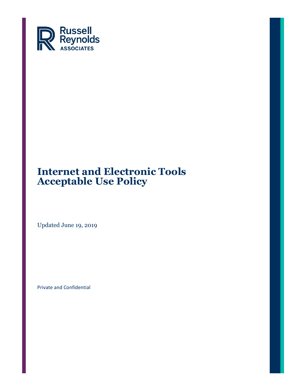

Updated June 19, 2019

Private and Confidential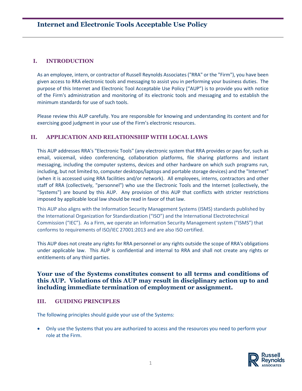## **I. INTRODUCTION**

As an employee, intern, or contractor of Russell Reynolds Associates ("RRA" or the "Firm"), you have been given access to RRA electronic tools and messaging to assist you in performing your business duties. The purpose of this Internet and Electronic Tool Acceptable Use Policy ("AUP") is to provide you with notice of the Firm's administration and monitoring of its electronic tools and messaging and to establish the minimum standards for use of such tools.

Please review this AUP carefully. You are responsible for knowing and understanding its content and for exercising good judgment in your use of the Firm's electronic resources.

## **II. APPLICATION AND RELATIONSHIP WITH LOCAL LAWS**

This AUP addresses RRA's "Electronic Tools" (any electronic system that RRA provides or pays for, such as email, voicemail, video conferencing, collaboration platforms, file sharing platforms and instant messaging, including the computer systems, devices and other hardware on which such programs run, including, but not limited to, computer desktops/laptops and portable storage devices) and the "Internet" (when it is accessed using RRA facilities and/or network). All employees, interns, contractors and other staff of RRA (collectively, "personnel") who use the Electronic Tools and the Internet (collectively, the "Systems") are bound by this AUP. Any provision of this AUP that conflicts with stricter restrictions imposed by applicable local law should be read in favor of that law.

This AUP also aligns with the Information Security Management Systems (ISMS) standards published by the International Organization for Standardization ("ISO") and the International Electrotechnical Commission ("IEC"). As a Firm, we operate an Information Security Management system ("ISMS") that conforms to requirements of ISO/IEC 27001:2013 and are also ISO certified.

This AUP does not create any rights for RRA personnel or any rights outside the scope of RRA's obligations under applicable law. This AUP is confidential and internal to RRA and shall not create any rights or entitlements of any third parties.

## **Your use of the Systems constitutes consent to all terms and conditions of this AUP. Violations of this AUP may result in disciplinary action up to and including immediate termination of employment or assignment.**

#### **III. GUIDING PRINCIPLES**

The following principles should guide your use of the Systems:

• Only use the Systems that you are authorized to access and the resources you need to perform your role at the Firm.

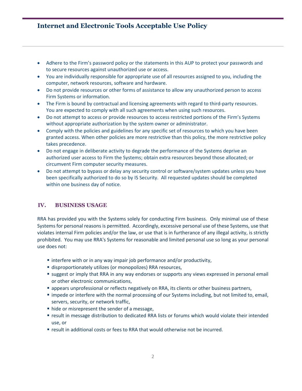- Adhere to the Firm's password policy or the statements in this AUP to protect your passwords and to secure resources against unauthorized use or access.
- You are individually responsible for appropriate use of all resources assigned to you, including the computer, network resources, software and hardware.
- Do not provide resources or other forms of assistance to allow any unauthorized person to access Firm Systems or information.
- The Firm is bound by contractual and licensing agreements with regard to third-party resources. You are expected to comply with all such agreements when using such resources.
- Do not attempt to access or provide resources to access restricted portions of the Firm's Systems without appropriate authorization by the system owner or administrator.
- Comply with the policies and guidelines for any specific set of resources to which you have been granted access. When other policies are more restrictive than this policy, the more restrictive policy takes precedence.
- Do not engage in deliberate activity to degrade the performance of the Systems deprive an authorized user access to Firm the Systems; obtain extra resources beyond those allocated; or circumvent Firm computer security measures.
- Do not attempt to bypass or delay any security control or software/system updates unless you have been specifically authorized to do so by IS Security. All requested updates should be completed within one business day of notice.

#### **IV. BUSINESS USAGE**

RRA has provided you with the Systems solely for conducting Firm business. Only minimal use of these Systems for personal reasons is permitted. Accordingly, excessive personal use of these Systems, use that violates internal Firm policies and/or the law, or use that is in furtherance of any illegal activity, is strictly prohibited. You may use RRA's Systems for reasonable and limited personal use so long as your personal use does not:

- interfere with or in any way impair job performance and/or productivity,
- **E** disproportionately utilizes (or monopolizes) RRA resources,
- **E** suggest or imply that RRA in any way endorses or supports any views expressed in personal email or other electronic communications,
- **Example 3 appears unprofessional or reflects negatively on RRA, its clients or other business partners,**
- impede or interfere with the normal processing of our Systems including, but not limited to, email, servers, security, or network traffic,
- hide or misrepresent the sender of a message,
- result in message distribution to dedicated RRA lists or forums which would violate their intended use, or
- result in additional costs or fees to RRA that would otherwise not be incurred.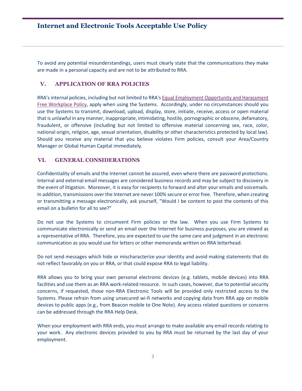To avoid any potential misunderstandings, users must clearly state that the communications they make are made in a personal capacity and are not to be attributed to RRA.

#### **V. APPLICATION OF RRA POLICIES**

RRA's internal policies, including but not limited to RRA'[s Equal Employment Opportunity and Harassment](https://rra.russellreynolds.com/CorporateCenter/hcm/TotalRewards/Documents/Harassment_and_EEO_Policy%20-%20Global.pdf)  [Free Workplace Policy,](https://rra.russellreynolds.com/CorporateCenter/hcm/TotalRewards/Documents/Harassment_and_EEO_Policy%20-%20Global.pdf) apply when using the Systems. Accordingly, under no circumstances should you use the Systems to transmit, download, upload, display, store, initiate, receive, access or open material that is unlawful in any manner, inappropriate, intimidating, hostile, pornographic or obscene, defamatory, fraudulent, or offensive (including but not limited to offensive material concerning sex, race, color, national origin, religion, age, sexual orientation, disability or other characteristics protected by local law). Should you receive any material that you believe violates Firm policies, consult your Area/Country Manager or Global Human Capital immediately.

#### **VI. GENERAL CONSIDERATIONS**

Confidentiality of emails and the Internet cannot be assured, even where there are password protections. Internal and external email messages are considered business records and may be subject to discovery in the event of litigation. Moreover, it is easy for recipients to forward and alter your emails and voicemails. In addition, transmissions over the Internet are never 100% secure or error free. Therefore, when creating or transmitting a message electronically, ask yourself, "Would I be content to post the contents of this email on a bulletin for all to see?"

Do not use the Systems to circumvent Firm policies or the law. When you use Firm Systems to communicate electronically or send an email over the Internet for business purposes, you are viewed as a representative of RRA. Therefore, you are expected to use the same care and judgment in an electronic communication as you would use for letters or other memoranda written on RRA letterhead.

Do not send messages which hide or mischaracterize your identity and avoid making statements that do not reflect favorably on you or RRA, or that could expose RRA to legal liability.

RRA allows you to bring your own personal electronic devices (e.g. tablets, mobile devices) into RRA facilities and use them as an RRA work-related resource. In such cases, however, due to potential security concerns, if requested, those non-RRA Electronic Tools will be provided only restricted access to the Systems. Please refrain from using unsecured wi-fi networks and copying data from RRA app on mobile devices to public apps (e.g., from Beacon mobile to One Note). Any access related questions or concerns can be addressed through the RRA Help Desk.

When your employment with RRA ends, you must arrange to make available any email records relating to your work. Any electronic devices provided to you by RRA must be returned by the last day of your employment.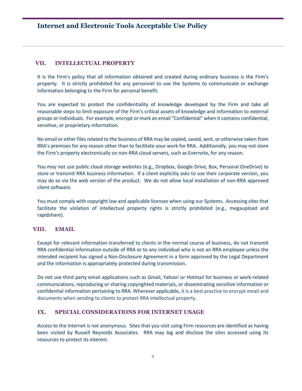### **VII. INTELLECTUAL PROPERTY**

It is the Firm's policy that all information obtained and created during ordinary business is the Firm's property. It is strictly prohibited for any personnel to use the Systems to communicate or exchange information belonging to the Firm for personal benefit.

You are expected to protect the confidentiality of knowledge developed by the Firm and take all reasonable steps to limit exposure of the Firm's critical assets of knowledge and information to external groups or individuals. For example, encrypt or mark an email "Confidential" when it contains confidential, sensitive, or proprietary information.

No email or other files related to the business of RRA may be copied, saved, sent, or otherwise taken from RRA's premises for any reason other than to facilitate your work for RRA. Additionally, you may not store the Firm's property electronically on non-RRA cloud servers, such as Evernote, for any reason.

You may not use public cloud storage websites (e.g., Dropbox, Google Drive, Box, Personal OneDrive) to store or transmit RRA business information. If a client explicitly asks to use their corporate version, you may do so via the web version of the product. We do not allow local installation of non-RRA approved client software.

You must comply with copyright law and applicable licenses when using our Systems. Accessing sites that facilitate the violation of intellectual property rights is strictly prohibited (e.g., megaupload and rapidshare).

#### **VIII. EMAIL**

Except for relevant information transferred to clients in the normal course of business, do not transmit RRA confidential information outside of RRA or to any individual who is not an RRA employee unless the intended recipient has signed a Non-Disclosure Agreement in a form approved by the Legal Department and the information is appropriately protected during transmission.

Do not use third party email applications such as Gmail, Yahoo! or Hotmail for business or work-related communications, reproducing or sharing copyrighted materials, or disseminating sensitive information or confidential information pertaining to RRA. Wherever applicable, it is a best practice to encrypt email and documents when sending to clients to protect RRA intellectual property.

#### **IX. SPECIAL CONSIDERATIONS FOR INTERNET USAGE**

Access to the Internet is not anonymous. Sites that you visit using Firm resources are identified as having been visited by Russell Reynolds Associates. RRA may log and disclose the sites accessed using its resources to protect its interest.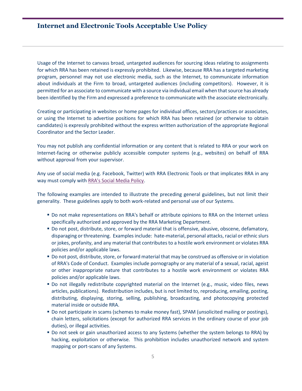Usage of the Internet to canvass broad, untargeted audiences for sourcing ideas relating to assignments for which RRA has been retained is expressly prohibited. Likewise, because RRA has a targeted marketing program, personnel may not use electronic media, such as the Internet, to communicate information about individuals at the Firm to broad, untargeted audiences (including competitors). However, it is permitted for an associate to communicate with a source via individual email when that source has already been identified by the Firm and expressed a preference to communicate with the associate electronically.

Creating or participating in websites or home pages for individual offices, sectors/practices or associates, or using the Internet to advertise positions for which RRA has been retained (or otherwise to obtain candidates) is expressly prohibited without the express written authorization of the appropriate Regional Coordinator and the Sector Leader.

You may not publish any confidential information or any content that is related to RRA or your work on Internet-facing or otherwise publicly accessible computer systems (e.g., websites) on behalf of RRA without approval from your supervisor.

Any use of social media (e.g. Facebook, Twitter) with RRA Electronic Tools or that implicates RRA in any way must comply wit[h RRA's Social Media Policy.](https://rra.russellreynolds.com/CorporateCenter/Legal/Documents/Social%20Media%20Policy.pdf#search=Social%20Media%20Policy)

The following examples are intended to illustrate the preceding general guidelines, but not limit their generality. These guidelines apply to both work-related and personal use of our Systems.

- Do not make representations on RRA's behalf or attribute opinions to RRA on the Internet unless specifically authorized and approved by the RRA Marketing Department.
- **Do not post, distribute, store, or forward material that is offensive, abusive, obscene, defamatory,** disparaging or threatening. Examples include: hate-material, personal attacks, racial or ethnic slurs or jokes, profanity, and any material that contributes to a hostile work environment or violates RRA policies and/or applicable laws.
- Do not post, distribute, store, or forward material that may be construed as offensive or in violation of RRA's Code of Conduct. Examples include pornography or any material of a sexual, racial, ageist or other inappropriate nature that contributes to a hostile work environment or violates RRA policies and/or applicable laws.
- Do not illegally redistribute copyrighted material on the Internet (e.g., music, video files, news articles, publications). Redistribution includes, but is not limited to, reproducing, emailing, posting, distributing, displaying, storing, selling, publishing, broadcasting, and photocopying protected material inside or outside RRA.
- **Do not participate in scams (schemes to make money fast), SPAM (unsolicited mailing or postings),** chain letters, solicitations (except for authorized RRA services in the ordinary course of your job duties), or illegal activities.
- Do not seek or gain unauthorized access to any Systems (whether the system belongs to RRA) by hacking, exploitation or otherwise. This prohibition includes unauthorized network and system mapping or port-scans of any Systems.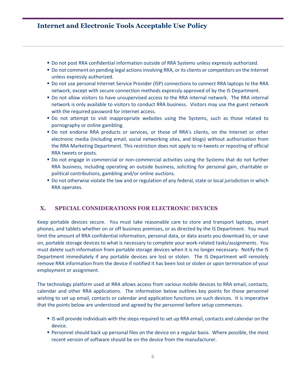- **Do not post RRA confidential information outside of RRA Systems unless expressly authorized.**
- Do not comment on pending legal actions involving RRA, or its clients or competitors on the Internet unless expressly authorized.
- Do not use personal Internet Service Provider (ISP) connections to connect RRA laptops to the RRA network, except with secure connection methods expressly approved of by the IS Department.
- Do not allow visitors to have unsupervised access to the RRA internal network. The RRA internal network is only available to visitors to conduct RRA business. Visitors may use the guest network with the required password for internet access.
- **Do not attempt to visit inappropriate websites using the Systems, such as those related to** pornography or online gambling.
- Do not endorse RRA products or services, or those of RRA's clients, on the Internet or other electronic media (including email, social networking sites, and blogs) without authorization from the RRA Marketing Department. This restriction does not apply to re-tweets or reposting of official RRA tweets or posts.
- Do not engage in commercial or non-commercial activities using the Systems that do not further RRA business, including operating an outside business, soliciting for personal gain, charitable or political contributions, gambling and/or online auctions.
- Do not otherwise violate the law and or regulation of any federal, state or local jurisdiction in which RRA operates.

#### **X. SPECIAL CONSIDERATIONS FOR ELECTRONIC DEVICES**

Keep portable devices secure. You must take reasonable care to store and transport laptops, smart phones, and tablets whether on or off business premises, or as directed by the IS Department. You must limit the amount of RRA confidential information, personal data, or data assets you download to, or save on, portable storage devices to what is necessary to complete your work-related tasks/assignments. You must delete such information from portable storage devices when it is no longer necessary. Notify the IS Department immediately if any portable devices are lost or stolen. The IS Department will remotely remove RRA information from the device if notified it has been lost or stolen or upon termination of your employment or assignment.

The technology platform used at RRA allows access from various mobile devices to RRA email, contacts, calendar and other RRA applications. The information below outlines key points for those personnel wishing to set up email, contacts or calendar and application functions on such devices. It is imperative that the points below are understood and agreed by the personnel before setup commences.

- IS will provide individuals with the steps required to set up RRA email, contacts and calendar on the device.
- **Personnel should back up personal files on the device on a regular basis. Where possible, the most** recent version of software should be on the device from the manufacturer.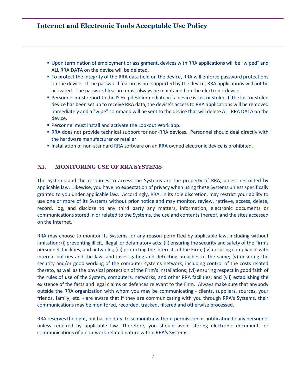- Upon termination of employment or assignment, devices with RRA applications will be "wiped" and ALL RRA DATA on the device will be deleted.
- To protect the integrity of the RRA data held on the device, RRA will enforce password protections on the device. If the password feature is not supported by the device, RRA applications will not be activated. The password feature must always be maintained on the electronic device.
- **Personnel must report to the IS Helpdesk immediately if a device is lost or stolen. If the lost or stolen** device has been set up to receive RRA data, the device's access to RRA applications will be removed immediately and a "wipe" command will be sent to the device that will delete ALL RRA DATA on the device.
- Personnel must install and activate the Lookout Work app.
- RRA does not provide technical support for non-RRA devices. Personnel should deal directly with the hardware manufacturer or retailer.
- **Installation of non-standard RRA software on an RRA owned electronic device is prohibited.**

#### **XI. MONITORING USE OF RRA SYSTEMS**

The Systems and the resources to access the Systems are the property of RRA, unless restricted by applicable law. Likewise, you have no expectation of privacy when using these Systems unless specifically granted to you under applicable law. Accordingly, RRA, in its sole discretion, may restrict your ability to use one or more of its Systems without prior notice and may monitor, review, retrieve, access, delete, record, log, and disclose to any third party any matters, information, electronic documents or communications stored in or related to the Systems, the use and contents thereof, and the sites accessed on the Internet.

RRA may choose to monitor its Systems for any reason permitted by applicable law, including without limitation: (i) preventing illicit, illegal, or defamatory acts; (ii) ensuring the security and safety of the Firm's personnel, facilities, and networks; (iii) protecting the interests of the Firm; (iv) ensuring compliance with internal policies and the law, and investigating and detecting breaches of the same; (v) ensuring the security and/or good working of the computer systems network, including control of the costs related thereto, as well as the physical protection of the Firm's installations; (vi) ensuring respect in good faith of the rules of use of the System, computers, networks, and other RRA facilities; and (vii) establishing the existence of the facts and legal claims or defences relevant to the Firm. Always make sure that anybody outside the RRA organization with whom you may be communicating - clients, suppliers, sources, your friends, family, etc. - are aware that if they are communicating with you through RRA's Systems, their communications may be monitored, recorded, tracked, filtered and otherwise processed.

RRA reserves the right, but has no duty, to so monitor without permission or notification to any personnel unless required by applicable law. Therefore, you should avoid storing electronic documents or communications of a non-work-related nature within RRA's Systems.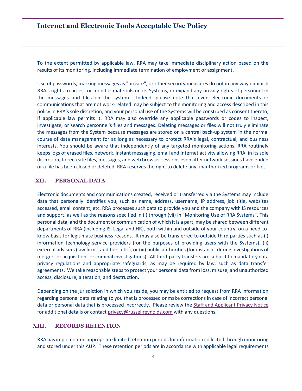To the extent permitted by applicable law, RRA may take immediate disciplinary action based on the results of its monitoring, including immediate termination of employment or assignment.

Use of passwords, marking messages as "private", or other security measures do not in any way diminish RRA's rights to access or monitor materials on its Systems, or expand any privacy rights of personnel in the messages and files on the system. Indeed, please note that even electronic documents or communications that are not work-related may be subject to the monitoring and access described in this policy in RRA's sole discretion, and your personal use of the Systems will be construed as consent thereto, if applicable law permits it. RRA may also override any applicable passwords or codes to inspect, investigate, or search personnel's files and messages. Deleting messages or files will not truly eliminate the messages from the System because messages are stored on a central back-up system in the normal course of data management for as long as necessary to protect RRA's legal, contractual, and business interests. You should be aware that independently of any targeted monitoring actions, RRA routinely keeps logs of erased files, network, instant messaging, email and Internet activity allowing RRA, in its sole discretion, to recreate files, messages, and web browser sessions even after network sessions have ended or a file has been closed or deleted. RRA reserves the right to delete any unauthorized programs or files.

#### **XII. PERSONAL DATA**

Electronic documents and communications created, received or transferred via the Systems may include data that personally identifies you, such as name, address, username, IP address, job title, websites accessed, email content, etc. RRA processes such data to provide you and the company with IS resources and support, as well as the reasons specified in (i) through (vii) in "Monitoring Use of RRA Systems". This personal data, and the document or communication of which it is a part, may be shared between different departments of RRA (including IS, Legal and HR), both within and outside of your country, on a need-toknow basis for legitimate business reasons. It may also be transferred to outside third parties such as (i) information technology service providers (for the purposes of providing users with the Systems), (ii) external advisors (law firms, auditors, etc.), or (iii) public authorities (for instance, during investigations of mergers or acquisitions or criminal investigations). All third-party transfers are subject to mandatory data privacy regulations and appropriate safeguards, as may be required by law, such as data transfer agreements. We take reasonable steps to protect your personal data from loss, misuse, and unauthorized access, disclosure, alteration, and destruction.

Depending on the jurisdiction in which you reside, you may be entitled to request from RRA information regarding personal data relating to you that is processed or make corrections in case of incorrect personal data or personal data that is processed incorrectly. Please review the [Staff and Applicant Privacy Notice](https://rra.russellreynolds.com/Documents/Employee-Applicant%20Notice_FINAL.pdf) for additional details or contac[t privacy@russellreynolds.com](mailto:privacy@russellreynolds.com) with any questions.

#### **XIII. RECORDS RETENTION**

RRA has implemented appropriate limited retention periods for information collected through monitoring and stored under this AUP. These retention periods are in accordance with applicable legal requirements